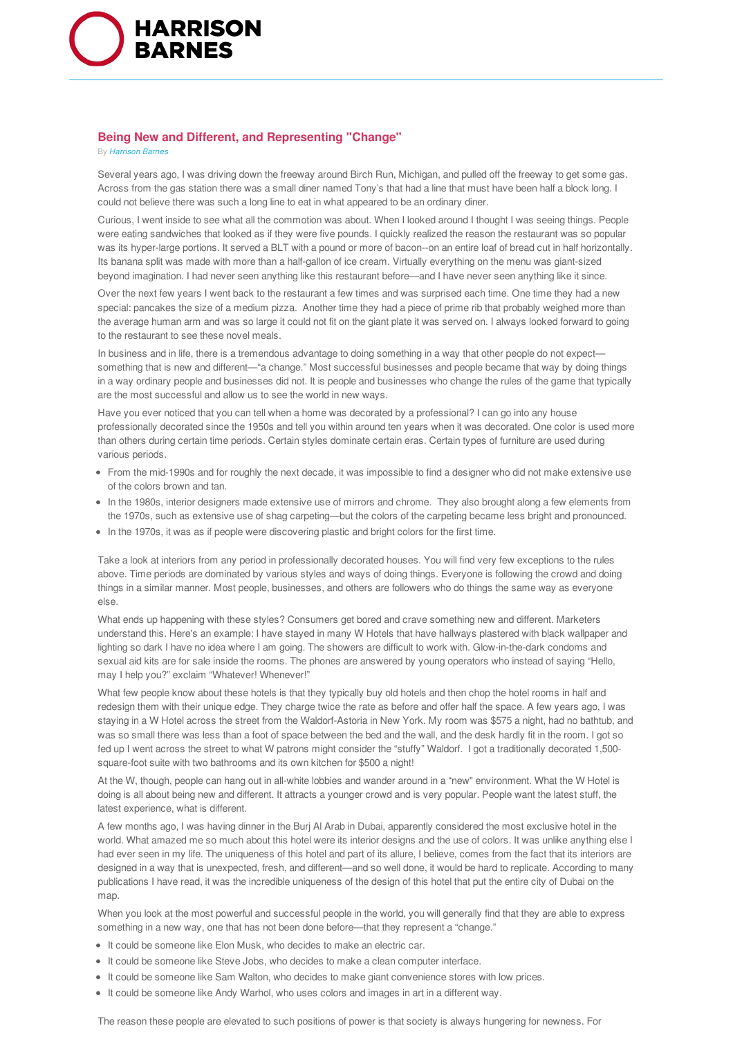

## **Being New and Different, and Representing "Change"**

By *Harrison Barnes*

Several years ago, I was driving down the freeway around Birch Run, Michigan, and pulled off the freeway to get some gas. Across from the gas station there was a small diner named Tony's that had a line that must have been half a block long. I could not believe there was such a long line to eat in what appeared to be an ordinary diner.

Curious, I went inside to see what all the commotion was about. When I looked around I thought I was seeing things. People were eating sandwiches that looked as if they were five pounds. I quickly realized the reason the restaurant was so popular was its hyper-large portions. It served a BLT with a pound or more of bacon--on an entire loaf of bread cut in half horizontally. Its banana split was made with more than a half-gallon of ice cream. Virtually everything on the menu was giant-sized beyond imagination. I had never seen anything like this restaurant before—and I have never seen anything like it since.

Over the next few years I went back to the restaurant a few times and was surprised each time. One time they had a new special: pancakes the size of a medium pizza. Another time they had a piece of prime rib that probably weighed more than the average human arm and was so large it could not fit on the giant plate it was served on. I always looked forward to going to the restaurant to see these novel meals.

In business and in life, there is a tremendous advantage to doing something in a way that other people do not expect something that is new and different—"a change." Most successful businesses and people became that way by doing things in a way ordinary people and businesses did not. It is people and businesses who change the rules of the game that typically are the most successful and allow us to see the world in new ways.

Have you ever noticed that you can tell when a home was decorated by a professional? I can go into any house professionally decorated since the 1950s and tell you within around ten years when it was decorated. One color is used more than others during certain time periods. Certain styles dominate certain eras. Certain types of furniture are used during various periods.

- From the mid-1990s and for roughly the next decade, it was impossible to find a designer who did not make extensive use of the colors brown and tan.
- In the 1980s, interior designers made extensive use of mirrors and chrome. They also brought along a few elements from the 1970s, such as extensive use of shag carpeting—but the colors of the carpeting became less bright and pronounced.
- In the 1970s, it was as if people were discovering plastic and bright colors for the first time.

Take a look at interiors from any period in professionally decorated houses. You will find very few exceptions to the rules above. Time periods are dominated by various styles and ways of doing things. Everyone is following the crowd and doing things in a similar manner. Most people, businesses, and others are followers who do things the same way as everyone else.

What ends up happening with these styles? Consumers get bored and crave something new and different. Marketers understand this. Here's an example: I have stayed in many W Hotels that have hallways plastered with black wallpaper and lighting so dark I have no idea where I am going. The showers are difficult to work with. Glow-in-the-dark condoms and sexual aid kits are for sale inside the rooms. The phones are answered by young operators who instead of saying "Hello, may I help you?" exclaim "Whatever! Whenever!"

What few people know about these hotels is that they typically buy old hotels and then chop the hotel rooms in half and redesign them with their unique edge. They charge twice the rate as before and offer half the space. A few years ago, I was staying in a W Hotel across the street from the Waldorf-Astoria in New York. My room was \$575 a night, had no bathtub, and was so small there was less than a foot of space between the bed and the wall, and the desk hardly fit in the room. I got so fed up I went across the street to what W patrons might consider the "stuffy" Waldorf. I got a traditionally decorated 1,500 square-foot suite with two bathrooms and its own kitchen for \$500 a night!

At the W, though, people can hang out in all-white lobbies and wander around in a "new" environment. What the W Hotel is doing is all about being new and different. It attracts a younger crowd and is very popular. People want the latest stuff, the latest experience, what is different.

A few months ago, I was having dinner in the Burj Al Arab in Dubai, apparently considered the most exclusive hotel in the world. What amazed me so much about this hotel were its interior designs and the use of colors. It was unlike anything else I had ever seen in my life. The uniqueness of this hotel and part of its allure, I believe, comes from the fact that its interiors are designed in a way that is unexpected, fresh, and different—and so well done, it would be hard to replicate. According to many publications I have read, it was the incredible uniqueness of the design of this hotel that put the entire city of Dubai on the map.

When you look at the most powerful and successful people in the world, you will generally find that they are able to express something in a new way, one that has not been done before—that they represent a "change."

- $\bullet$  It could be someone like Elon Musk, who decides to make an electric car.
- It could be someone like Steve Jobs, who decides to make a clean computer interface.
- It could be someone like Sam Walton, who decides to make giant convenience stores with low prices.
- It could be someone like Andy Warhol, who uses colors and images in art in a different way.

The reason these people are elevated to such positions of power is that society is always hungering for newness. For